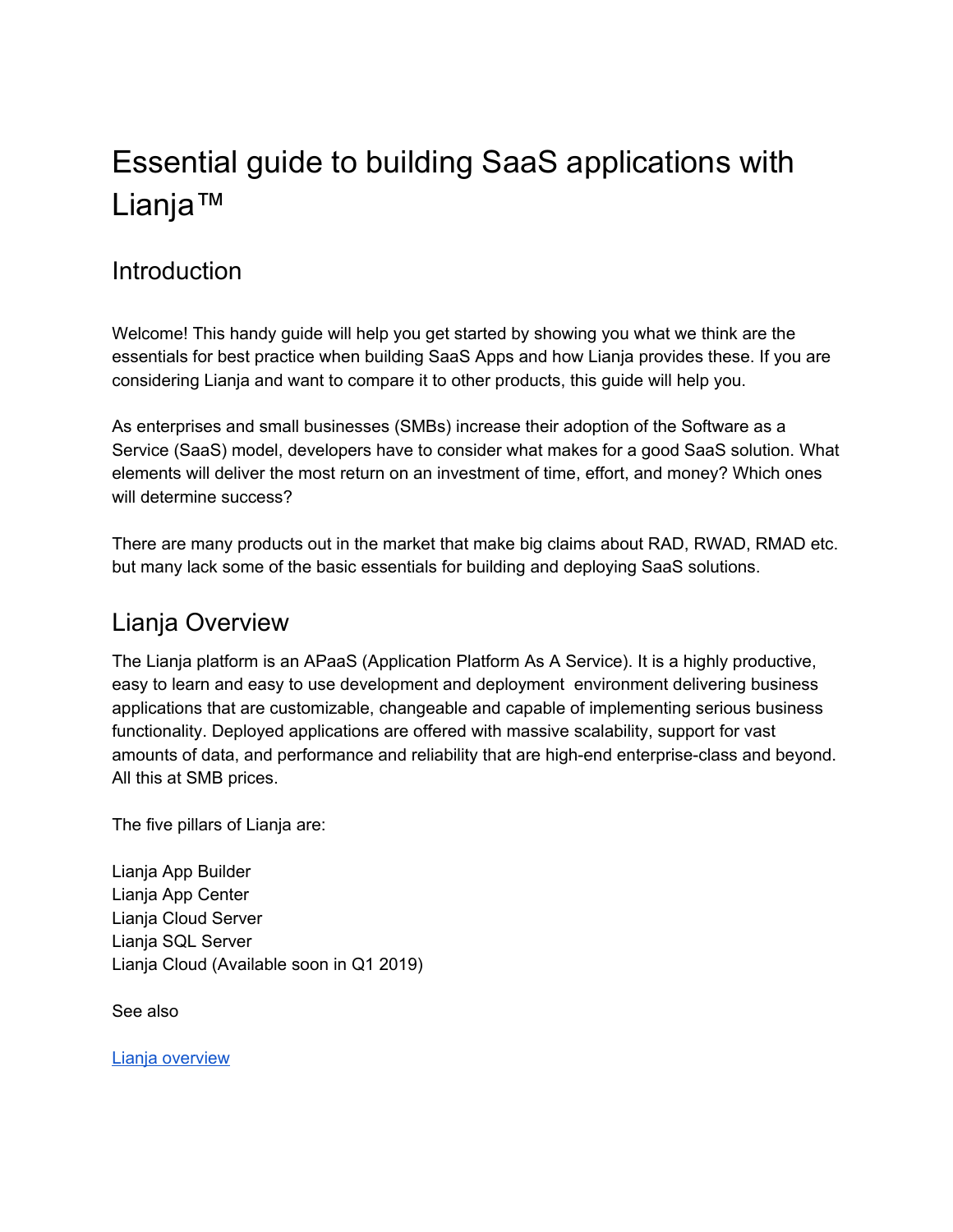# Essential guide to building SaaS applications with Lianja™

# **Introduction**

Welcome! This handy guide will help you get started by showing you what we think are the essentials for best practice when building SaaS Apps and how Lianja provides these. If you are considering Lianja and want to compare it to other products, this guide will help you.

As enterprises and small businesses (SMBs) increase their adoption of the Software as a Service (SaaS) model, developers have to consider what makes for a good SaaS solution. What elements will deliver the most return on an investment of time, effort, and money? Which ones will determine success?

There are many products out in the market that make big claims about RAD, RWAD, RMAD etc. but many lack some of the basic essentials for building and deploying SaaS solutions.

# Lianja Overview

The Lianja platform is an APaaS (Application Platform As A Service). It is a highly productive, easy to learn and easy to use development and deployment environment delivering business applications that are customizable, changeable and capable of implementing serious business functionality. Deployed applications are offered with massive scalability, support for vast amounts of data, and performance and reliability that are high-end enterprise-class and beyond. All this at SMB prices.

The five pillars of Lianja are:

Lianja App Builder Lianja App Center Lianja Cloud Server Lianja SQL Server Lianja Cloud (Available soon in Q1 2019)

See also

Lianja [overview](https://www.lianja.com/overview/lianja-overview)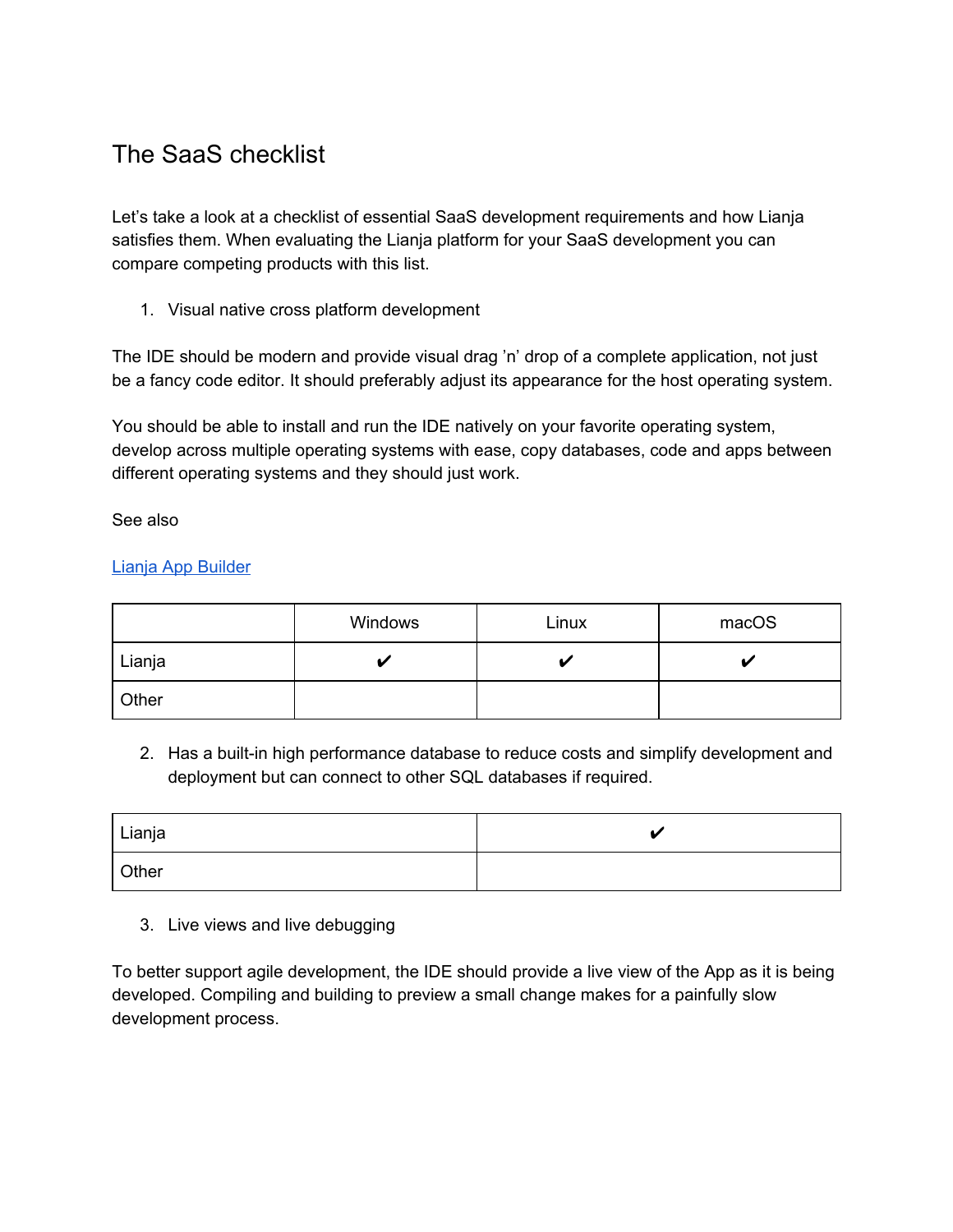# The SaaS checklist

Let's take a look at a checklist of essential SaaS development requirements and how Lianja satisfies them. When evaluating the Lianja platform for your SaaS development you can compare competing products with this list.

1. Visual native cross platform development

The IDE should be modern and provide visual drag 'n' drop of a complete application, not just be a fancy code editor. It should preferably adjust its appearance for the host operating system.

You should be able to install and run the IDE natively on your favorite operating system, develop across multiple operating systems with ease, copy databases, code and apps between different operating systems and they should just work.

See also

### Lianja App [Builder](https://www.lianja.com/overview/lianja-app-builder)

|        | Windows | Linux | macOS |
|--------|---------|-------|-------|
| Lianja |         |       |       |
| Other  |         |       |       |

2. Has a built-in high performance database to reduce costs and simplify development and deployment but can connect to other SQL databases if required.

| Lianja | 47 |
|--------|----|
| Other  |    |

### 3. Live views and live debugging

To better support agile development, the IDE should provide a live view of the App as it is being developed. Compiling and building to preview a small change makes for a painfully slow development process.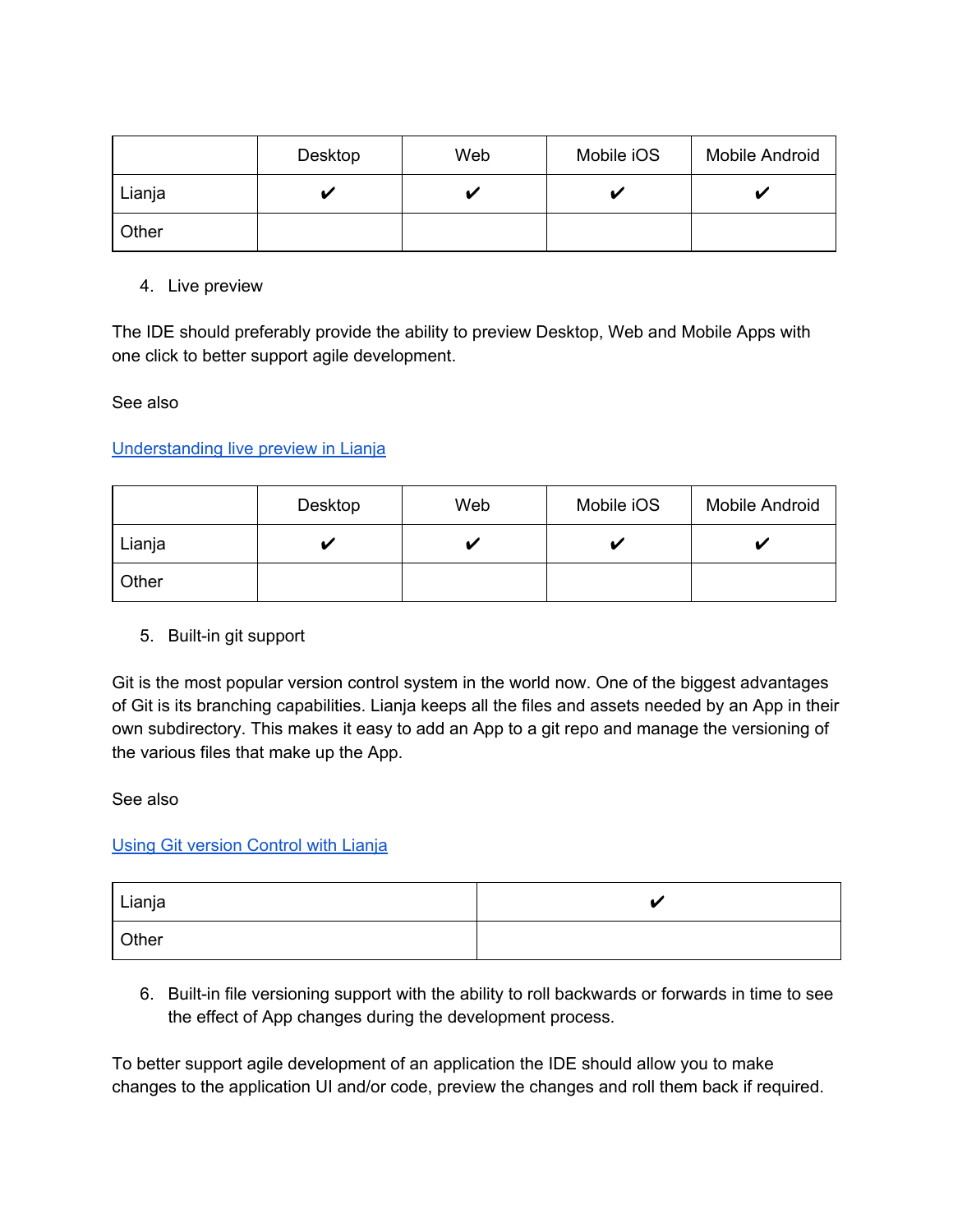|        | Desktop | Web | Mobile iOS | Mobile Android |
|--------|---------|-----|------------|----------------|
| Lianja |         |     |            |                |
| Other  |         |     |            |                |

4. Live preview

The IDE should preferably provide the ability to preview Desktop, Web and Mobile Apps with one click to better support agile development.

See also

[Understanding](https://www.lianja.com/doc/index.php/Understanding_Live_Preview_in_Lianja) live preview in Lianja

|        | Desktop | Web | Mobile iOS | <b>Mobile Android</b> |
|--------|---------|-----|------------|-----------------------|
| Lianja |         |     |            |                       |
| Other  |         |     |            |                       |

5. Built-in git support

Git is the most popular version control system in the world now. One of the biggest advantages of Git is its branching capabilities. Lianja keeps all the files and assets needed by an App in their own subdirectory. This makes it easy to add an App to a git repo and manage the versioning of the various files that make up the App.

#### See also

#### Using Git [version](https://www.lianja.com/doc/index.php/Using_Version_Control) Control with Lianja

| Lianja |  |
|--------|--|
| Other  |  |

6. Built-in file versioning support with the ability to roll backwards or forwards in time to see the effect of App changes during the development process.

To better support agile development of an application the IDE should allow you to make changes to the application UI and/or code, preview the changes and roll them back if required.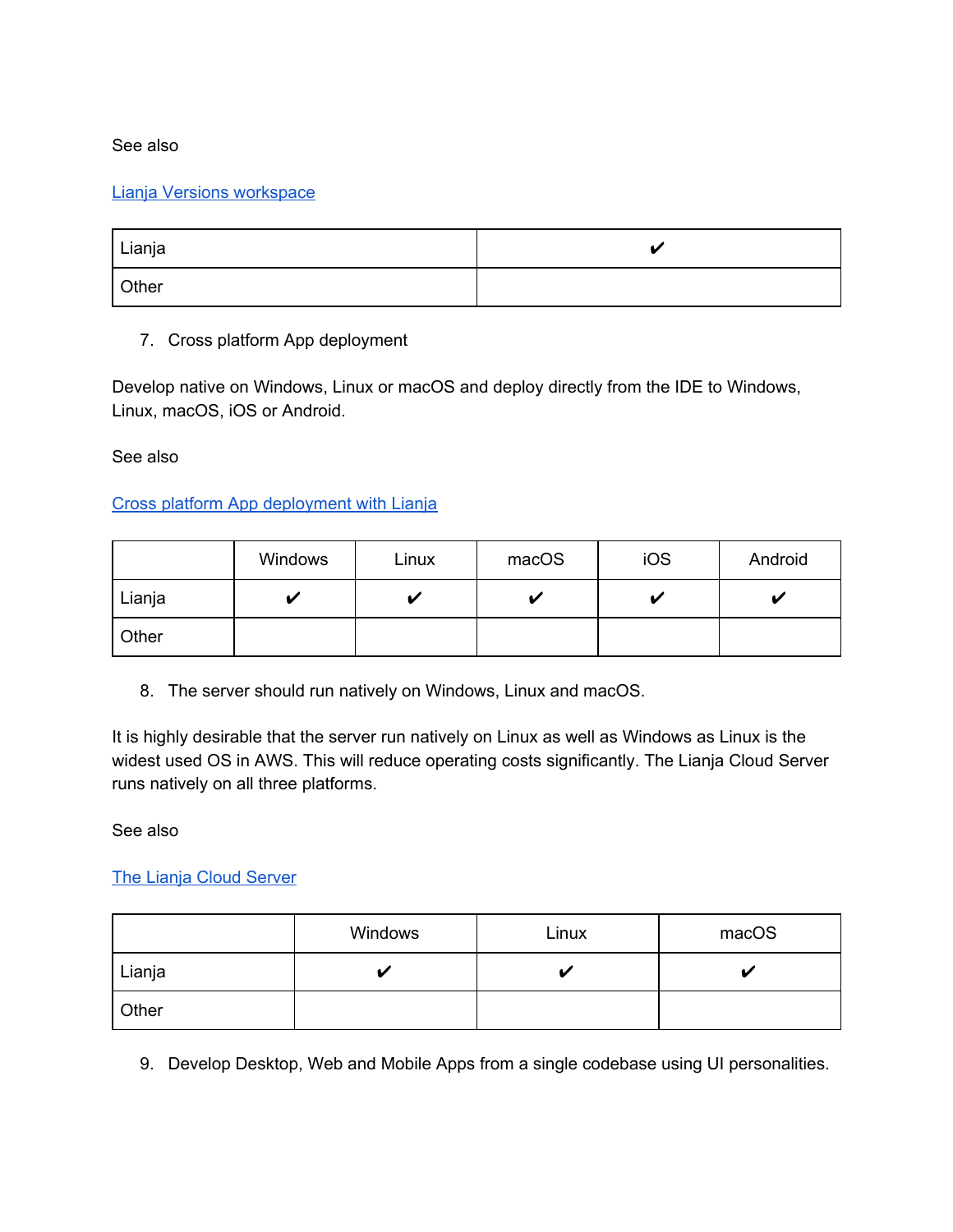#### See also

#### Lianja Versions [workspace](https://www.lianja.com/doc/index.php/Versions_Workspace)

| Lianja |  |
|--------|--|
| Other  |  |

#### 7. Cross platform App deployment

Develop native on Windows, Linux or macOS and deploy directly from the IDE to Windows, Linux, macOS, iOS or Android.

See also

### Cross platform App [deployment](https://www.lianja.com/doc/index.php/Cross_Platform_App_Deployment_with_Lianja#Deploying_Mobile_Apps) with Lianja

|        | Windows | Linux | macOS | iOS | Android |
|--------|---------|-------|-------|-----|---------|
| Lianja |         |       |       |     | u       |
| Other  |         |       |       |     |         |

8. The server should run natively on Windows, Linux and macOS.

It is highly desirable that the server run natively on Linux as well as Windows as Linux is the widest used OS in AWS. This will reduce operating costs significantly. The Lianja Cloud Server runs natively on all three platforms.

See also

#### The Lianja Cloud [Server](https://www.lianja.com/doc/index.php/Category:Lianja_Cloud_Server)

|        | Windows | Linux | macOS |
|--------|---------|-------|-------|
| Lianja |         |       |       |
| Other  |         |       |       |

9. Develop Desktop, Web and Mobile Apps from a single codebase using UI personalities.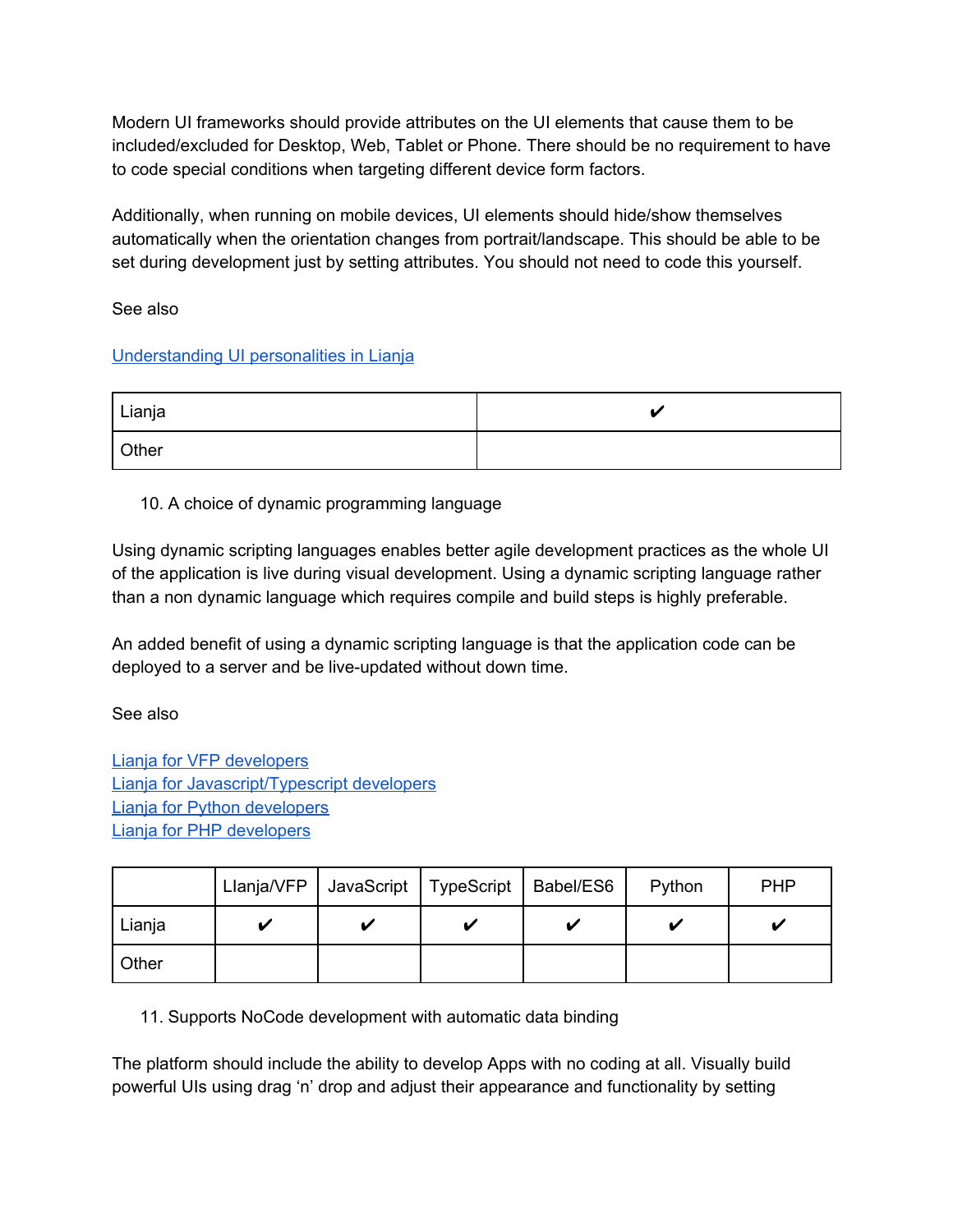Modern UI frameworks should provide attributes on the UI elements that cause them to be included/excluded for Desktop, Web, Tablet or Phone. There should be no requirement to have to code special conditions when targeting different device form factors.

Additionally, when running on mobile devices, UI elements should hide/show themselves automatically when the orientation changes from portrait/landscape. This should be able to be set during development just by setting attributes. You should not need to code this yourself.

See also

### [Understanding](https://www.lianja.com/doc/index.php/Understanding_UI_Personalities_in_Lianja) UI personalities in Lianja

| Lianja |  |
|--------|--|
| Other  |  |

# 10. A choice of dynamic programming language

Using dynamic scripting languages enables better agile development practices as the whole UI of the application is live during visual development. Using a dynamic scripting language rather than a non dynamic language which requires compile and build steps is highly preferable.

An added benefit of using a dynamic scripting language is that the application code can be deployed to a server and be live-updated without down time.

See also

Lianja for VFP [developers](https://www.lianja.com/community/lianja-for-vfp-developers) Lianja for [Javascript/Typescript](https://www.lianja.com/community/lianja-for-javascript-developers) developers Lianja for Python [developers](https://www.lianja.com/community/lianja-for-python-developers) Lianja for PHP [developers](https://www.lianja.com/community/php-developers)

|        |   | Llanja/VFP   JavaScript   TypeScript   Babel/ES6 | Python | <b>PHP</b> |
|--------|---|--------------------------------------------------|--------|------------|
| Lianja | ັ |                                                  |        |            |
| Other  |   |                                                  |        |            |

11. Supports NoCode development with automatic data binding

The platform should include the ability to develop Apps with no coding at all. Visually build powerful UIs using drag 'n' drop and adjust their appearance and functionality by setting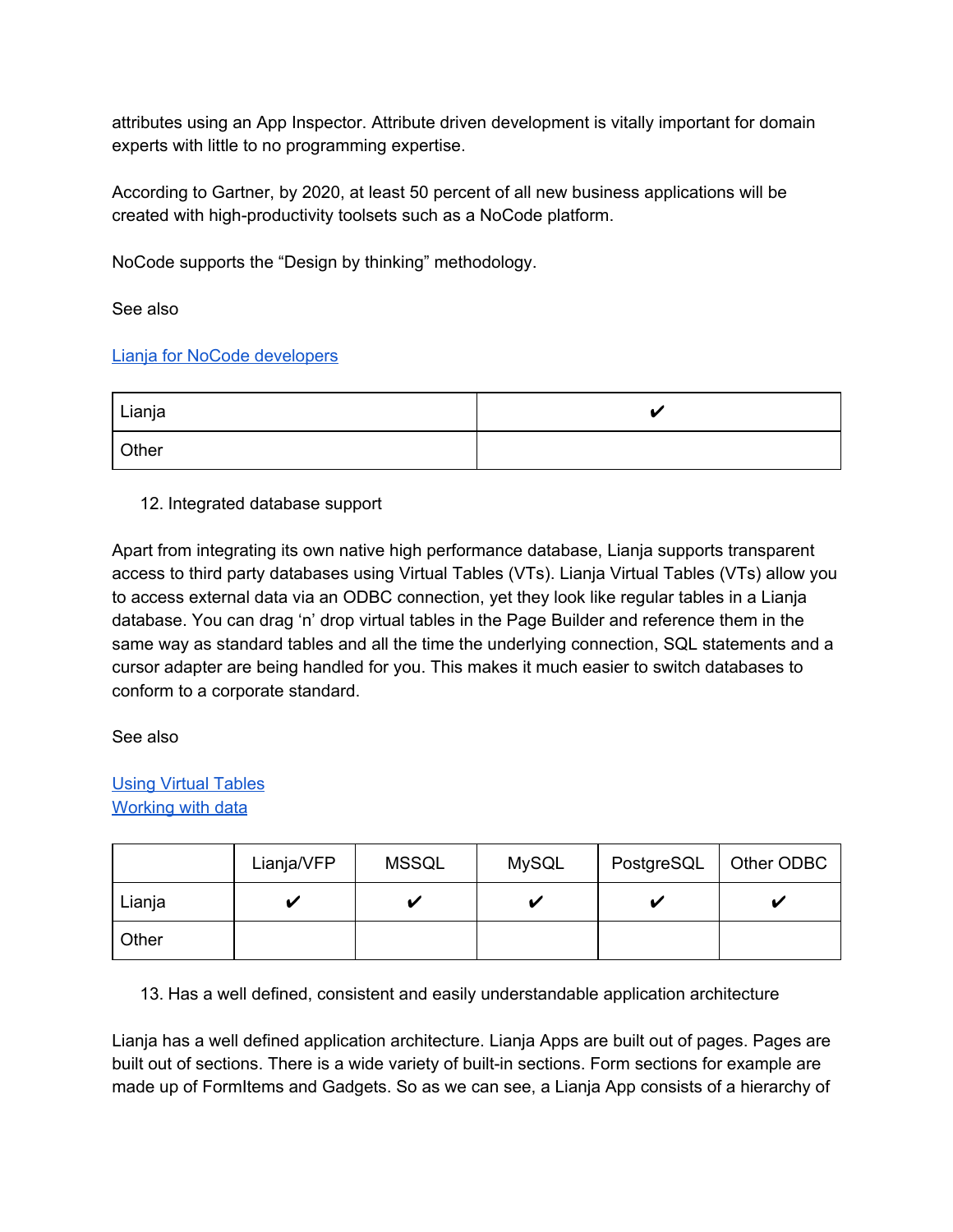attributes using an App Inspector. Attribute driven development is vitally important for domain experts with little to no programming expertise.

According to Gartner, by 2020, at least 50 percent of all new business applications will be created with high-productivity toolsets such as a NoCode platform.

NoCode supports the "Design by thinking" methodology.

See also

### Lianja for NoCode [developers](https://www.lianja.com/community/lianja-for-nocode-developers)

| l Lianja |  |
|----------|--|
| Other    |  |

### 12. Integrated database support

Apart from integrating its own native high performance database, Lianja supports transparent access to third party databases using Virtual Tables (VTs). Lianja Virtual Tables (VTs) allow you to access external data via an ODBC connection, yet they look like regular tables in a Lianja database. You can drag 'n' drop virtual tables in the Page Builder and reference them in the same way as standard tables and all the time the underlying connection, SQL statements and a cursor adapter are being handled for you. This makes it much easier to switch databases to conform to a corporate standard.

See also

# Using Virtual [Tables](https://www.lianja.com/doc/index.php/Virtual_Tables) [Working](https://www.lianja.com/doc/index.php/Category:Working_with_Data) with data

|        | Lianja/VFP | <b>MSSQL</b> | <b>MySQL</b> | PostgreSQL | Other ODBC |
|--------|------------|--------------|--------------|------------|------------|
| Lianja | ້          |              |              |            |            |
| Other  |            |              |              |            |            |

13. Has a well defined, consistent and easily understandable application architecture

Lianja has a well defined application architecture. Lianja Apps are built out of pages. Pages are built out of sections. There is a wide variety of built-in sections. Form sections for example are made up of FormItems and Gadgets. So as we can see, a Lianja App consists of a hierarchy of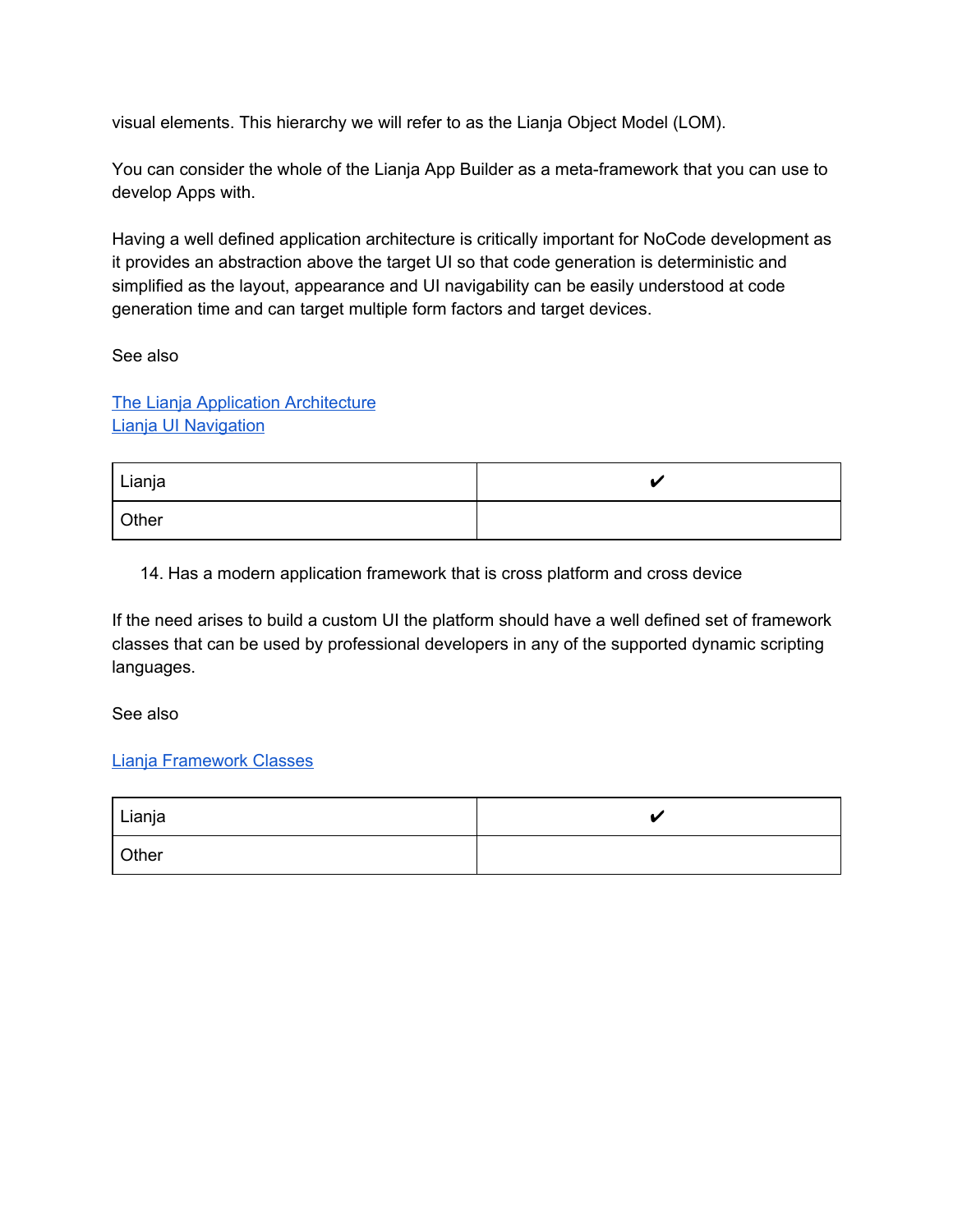visual elements. This hierarchy we will refer to as the Lianja Object Model (LOM).

You can consider the whole of the Lianja App Builder as a meta-framework that you can use to develop Apps with.

Having a well defined application architecture is critically important for NoCode development as it provides an abstraction above the target UI so that code generation is deterministic and simplified as the layout, appearance and UI navigability can be easily understood at code generation time and can target multiple form factors and target devices.

See also

The Lianja Application [Architecture](https://www.lianja.com/doc/index.php/Understanding_the_Lianja_App_Architecture) Lianja UI [Navigation](http://www.lianja.com/doc/index.php/Understanding_Lianja_UI_Navigation)

| Lianja | 44 |
|--------|----|
| Other  |    |

14. Has a modern application framework that is cross platform and cross device

If the need arises to build a custom UI the platform should have a well defined set of framework classes that can be used by professional developers in any of the supported dynamic scripting languages.

See also

#### Lianja [Framework](https://www.lianja.com/doc/index.php/Category:Framework_Classes) Classes

| Lianja | 44 |
|--------|----|
| Other  |    |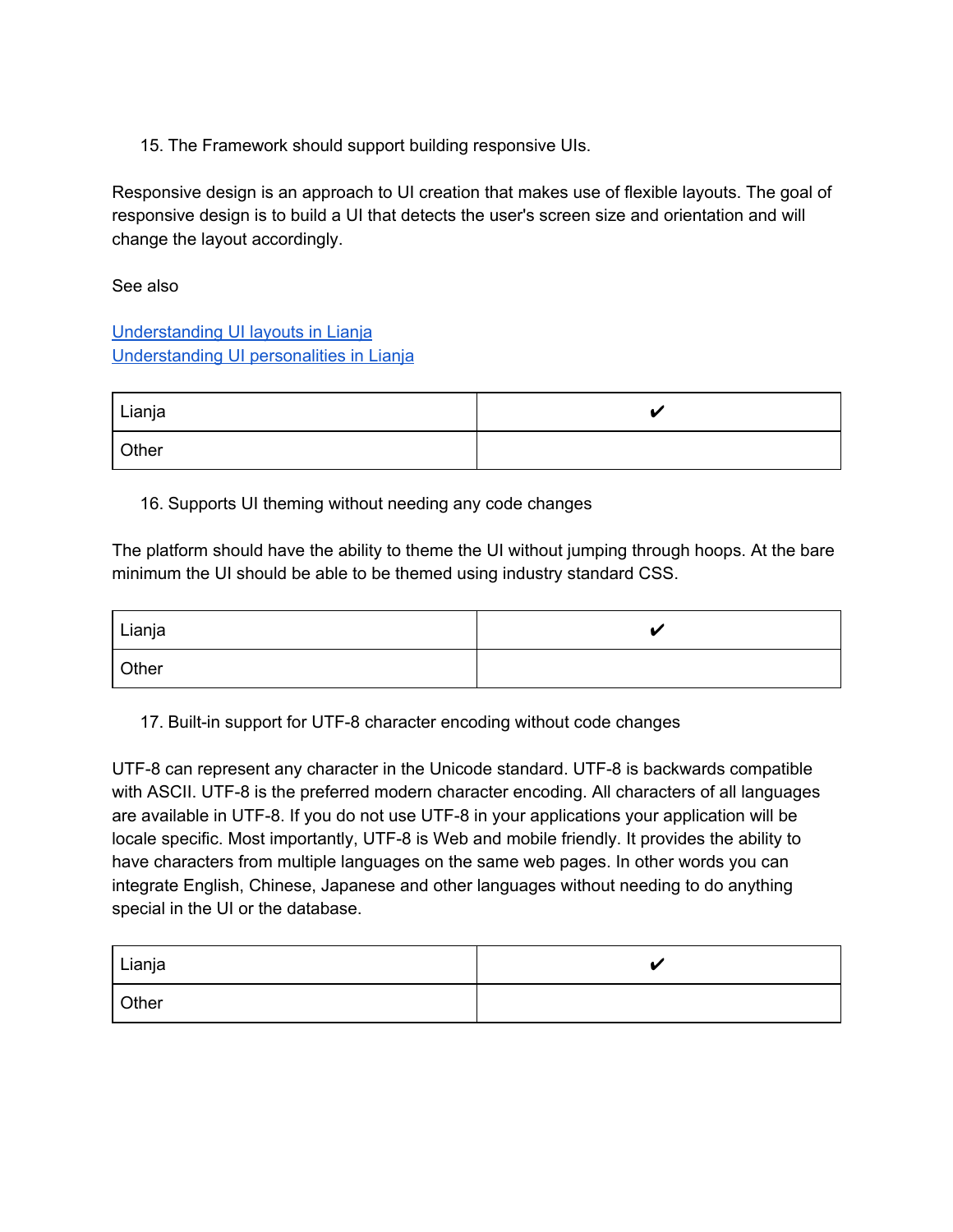15. The Framework should support building responsive UIs.

Responsive design is an approach to UI creation that makes use of flexible layouts. The goal of responsive design is to build a UI that detects the user's screen size and orientation and will change the layout accordingly.

#### See also

[Understanding](https://www.lianja.com/doc/index.php/Understanding_UI_Layouts) UI layouts in Lianja [Understanding](https://www.lianja.com/doc/index.php/Understanding_UI_Personalities_in_Lianja) UI personalities in Lianja

| Lianja |  |
|--------|--|
| Other  |  |

### 16. Supports UI theming without needing any code changes

The platform should have the ability to theme the UI without jumping through hoops. At the bare minimum the UI should be able to be themed using industry standard CSS.

| Lianja | ▲⊿ |
|--------|----|
| Other  |    |

17. Built-in support for UTF-8 character encoding without code changes

UTF-8 can represent any character in the Unicode standard. UTF-8 is backwards compatible with ASCII. UTF-8 is the preferred modern character encoding. All characters of all languages are available in UTF-8. If you do not use UTF-8 in your applications your application will be locale specific. Most importantly, UTF-8 is Web and mobile friendly. It provides the ability to have characters from multiple languages on the same web pages. In other words you can integrate English, Chinese, Japanese and other languages without needing to do anything special in the UI or the database.

| <sup>I</sup> Lianja |  |
|---------------------|--|
| Other               |  |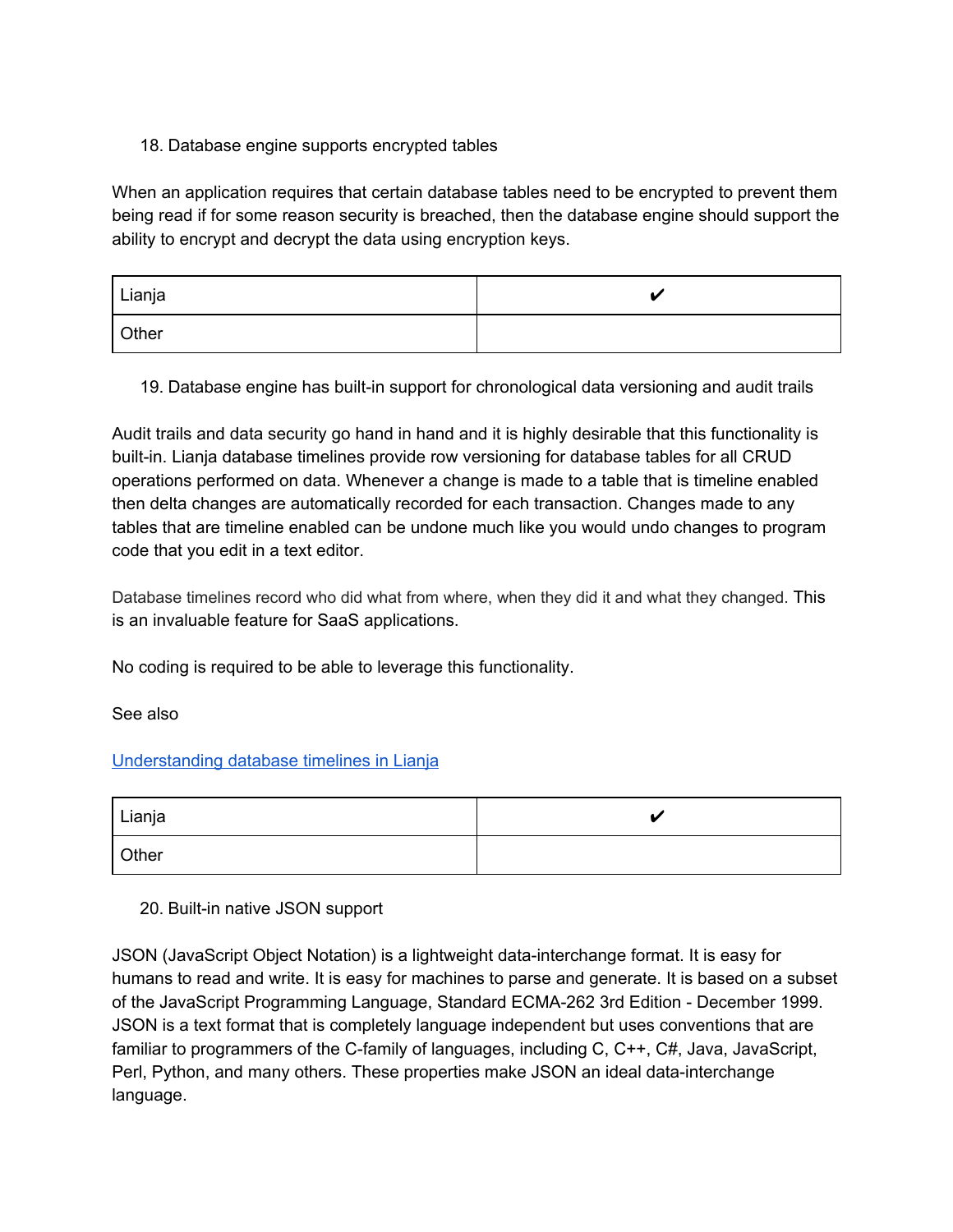### 18. Database engine supports encrypted tables

When an application requires that certain database tables need to be encrypted to prevent them being read if for some reason security is breached, then the database engine should support the ability to encrypt and decrypt the data using encryption keys.

| Lianja |  |
|--------|--|
| Other  |  |

19. Database engine has built-in support for chronological data versioning and audit trails

Audit trails and data security go hand in hand and it is highly desirable that this functionality is built-in. Lianja database timelines provide row versioning for database tables for all CRUD operations performed on data. Whenever a change is made to a table that is timeline enabled then delta changes are automatically recorded for each transaction. Changes made to any tables that are timeline enabled can be undone much like you would undo changes to program code that you edit in a text editor.

Database timelines record who did what from where, when they did it and what they changed. This is an invaluable feature for SaaS applications.

No coding is required to be able to leverage this functionality.

See also

### [Understanding](https://www.lianja.com/doc/index.php/Understanding_database_timelines_in_Lianja) database timelines in Lianja

| Lianja |  |
|--------|--|
| Other  |  |

### 20. Built-in native JSON support

JSON (JavaScript Object Notation) is a lightweight data-interchange format. It is easy for humans to read and write. It is easy for machines to parse and generate. It is based on a subset of the JavaScript Programming Language, Standard ECMA-262 3rd Edition - December 1999. JSON is a text format that is completely language independent but uses conventions that are familiar to programmers of the C-family of languages, including C, C++, C#, Java, JavaScript, Perl, Python, and many others. These properties make JSON an ideal data-interchange language.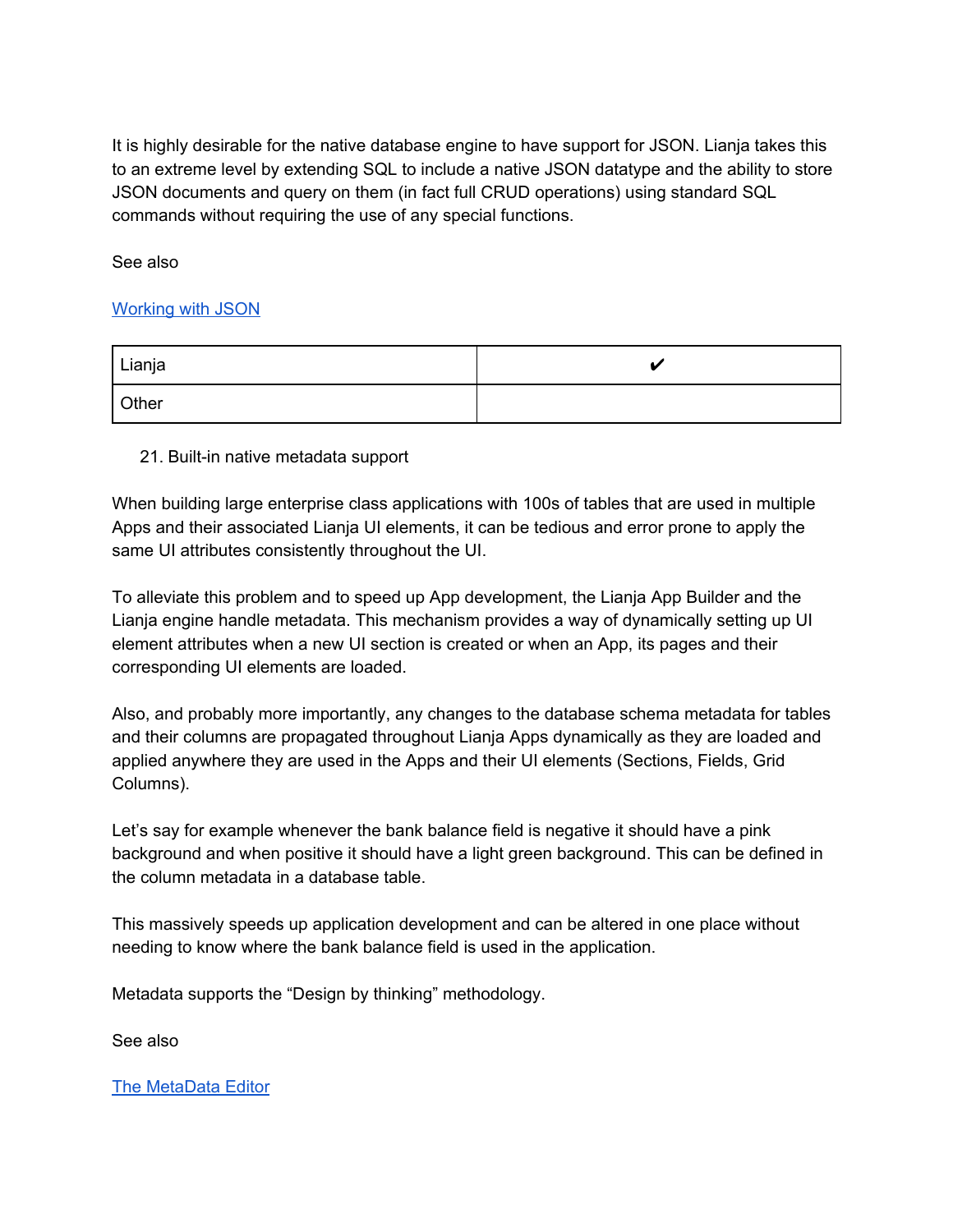It is highly desirable for the native database engine to have support for JSON. Lianja takes this to an extreme level by extending SQL to include a native JSON datatype and the ability to store JSON documents and query on them (in fact full CRUD operations) using standard SQL commands without requiring the use of any special functions.

See also

#### [Working](https://www.lianja.com/doc/index.php/Working_with_JSON_and_JQL) with JSON

| Lianja |  |
|--------|--|
| Other  |  |

#### 21. Built-in native metadata support

When building large enterprise class applications with 100s of tables that are used in multiple Apps and their associated Lianja UI elements, it can be tedious and error prone to apply the same UI attributes consistently throughout the UI.

To alleviate this problem and to speed up App development, the Lianja App Builder and the Lianja engine handle metadata. This mechanism provides a way of dynamically setting up UI element attributes when a new UI section is created or when an App, its pages and their corresponding UI elements are loaded.

Also, and probably more importantly, any changes to the database schema metadata for tables and their columns are propagated throughout Lianja Apps dynamically as they are loaded and applied anywhere they are used in the Apps and their UI elements (Sections, Fields, Grid Columns).

Let's say for example whenever the bank balance field is negative it should have a pink background and when positive it should have a light green background. This can be defined in the column metadata in a database table.

This massively speeds up application development and can be altered in one place without needing to know where the bank balance field is used in the application.

Metadata supports the "Design by thinking" methodology.

See also

The [MetaData](https://www.lianja.com/doc/index.php/MetaData_Editor) Editor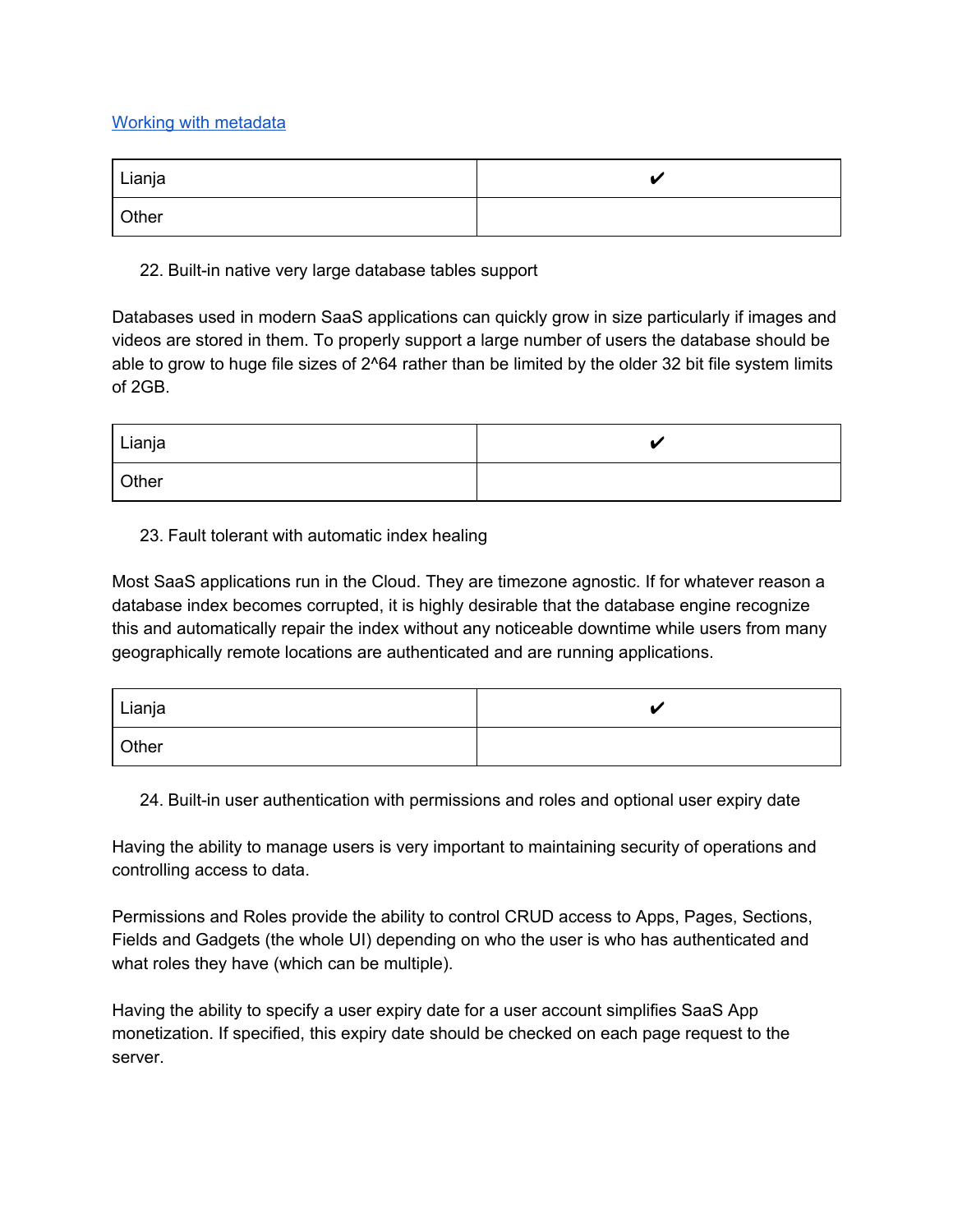#### Working with [metadata](https://www.lianja.com/doc/index.php/Lianja_MetaData_API)

| Lianja |  |
|--------|--|
| Other  |  |

22. Built-in native very large database tables support

Databases used in modern SaaS applications can quickly grow in size particularly if images and videos are stored in them. To properly support a large number of users the database should be able to grow to huge file sizes of 2^64 rather than be limited by the older 32 bit file system limits of 2GB.

| Lianja |  |
|--------|--|
| Other  |  |

#### 23. Fault tolerant with automatic index healing

Most SaaS applications run in the Cloud. They are timezone agnostic. If for whatever reason a database index becomes corrupted, it is highly desirable that the database engine recognize this and automatically repair the index without any noticeable downtime while users from many geographically remote locations are authenticated and are running applications.

| Lianja | 44 |
|--------|----|
| Other  |    |

24. Built-in user authentication with permissions and roles and optional user expiry date

Having the ability to manage users is very important to maintaining security of operations and controlling access to data.

Permissions and Roles provide the ability to control CRUD access to Apps, Pages, Sections, Fields and Gadgets (the whole UI) depending on who the user is who has authenticated and what roles they have (which can be multiple).

Having the ability to specify a user expiry date for a user account simplifies SaaS App monetization. If specified, this expiry date should be checked on each page request to the server.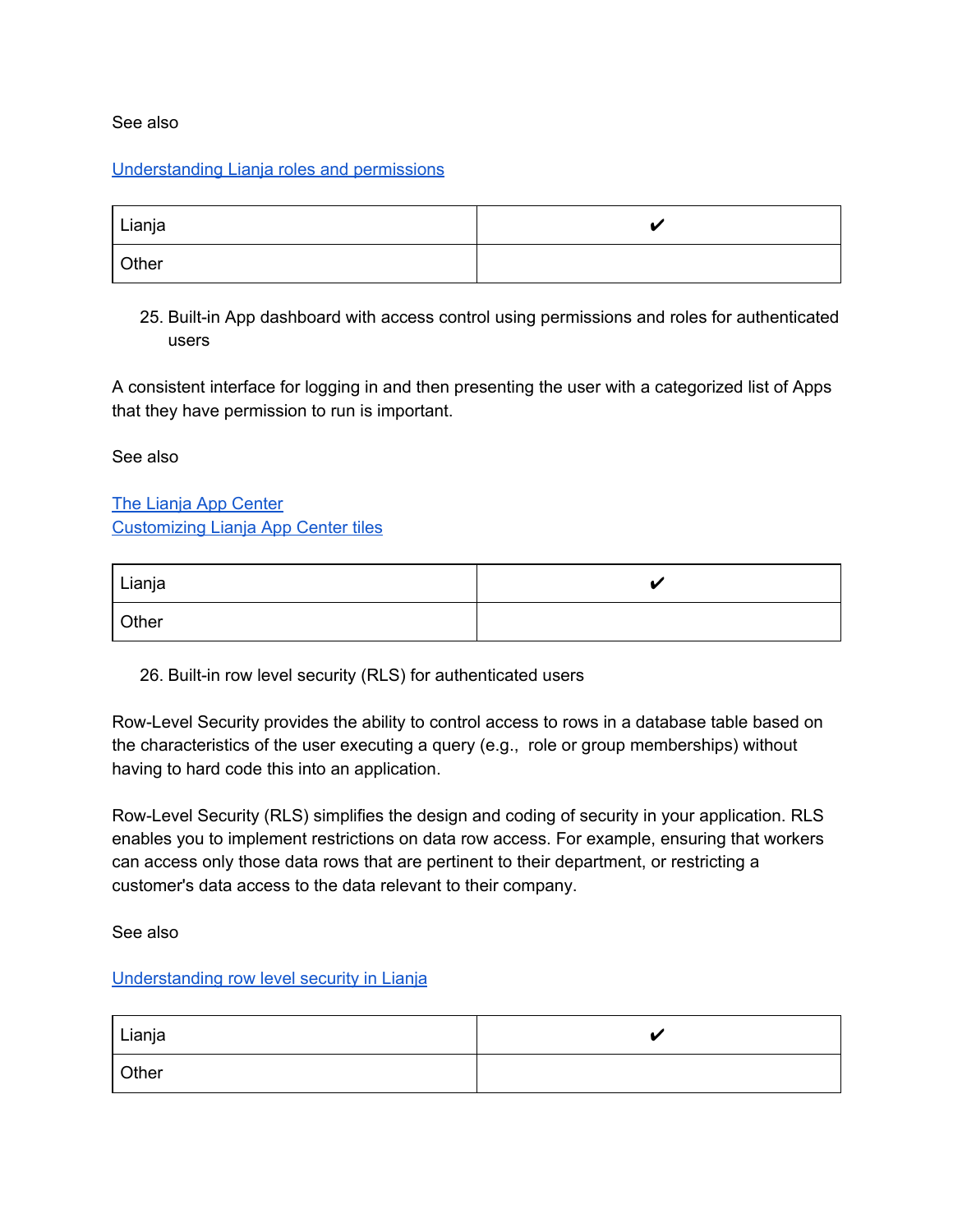#### See also

#### [Understanding](https://www.lianja.com/doc/index.php/Users_and_Roles) Lianja roles and permissions

| Lianja | 44 |
|--------|----|
| Other  |    |

25. Built-in App dashboard with access control using permissions and roles for authenticated users

A consistent interface for logging in and then presenting the user with a categorized list of Apps that they have permission to run is important.

See also

The Lianja App [Center](https://www.lianja.com/component/content/article/36/69) [Customizing](https://www.lianja.com/doc/index.php/Lianja_App_Center_Tiles) Lianja App Center tiles

| Lianja |  |
|--------|--|
| Other  |  |

26. Built-in row level security (RLS) for authenticated users

Row-Level Security provides the ability to control access to rows in a database table based on the characteristics of the user executing a query (e.g., role or group memberships) without having to hard code this into an application.

Row-Level Security (RLS) simplifies the design and coding of security in your application. RLS enables you to implement restrictions on data row access. For example, ensuring that workers can access only those data rows that are pertinent to their department, or restricting a customer's data access to the data relevant to their company.

See also

#### [Understanding](https://www.lianja.com/doc/index.php/Category:Row_Level_Security) row level security in Lianja

| Lianja |  |
|--------|--|
| Other  |  |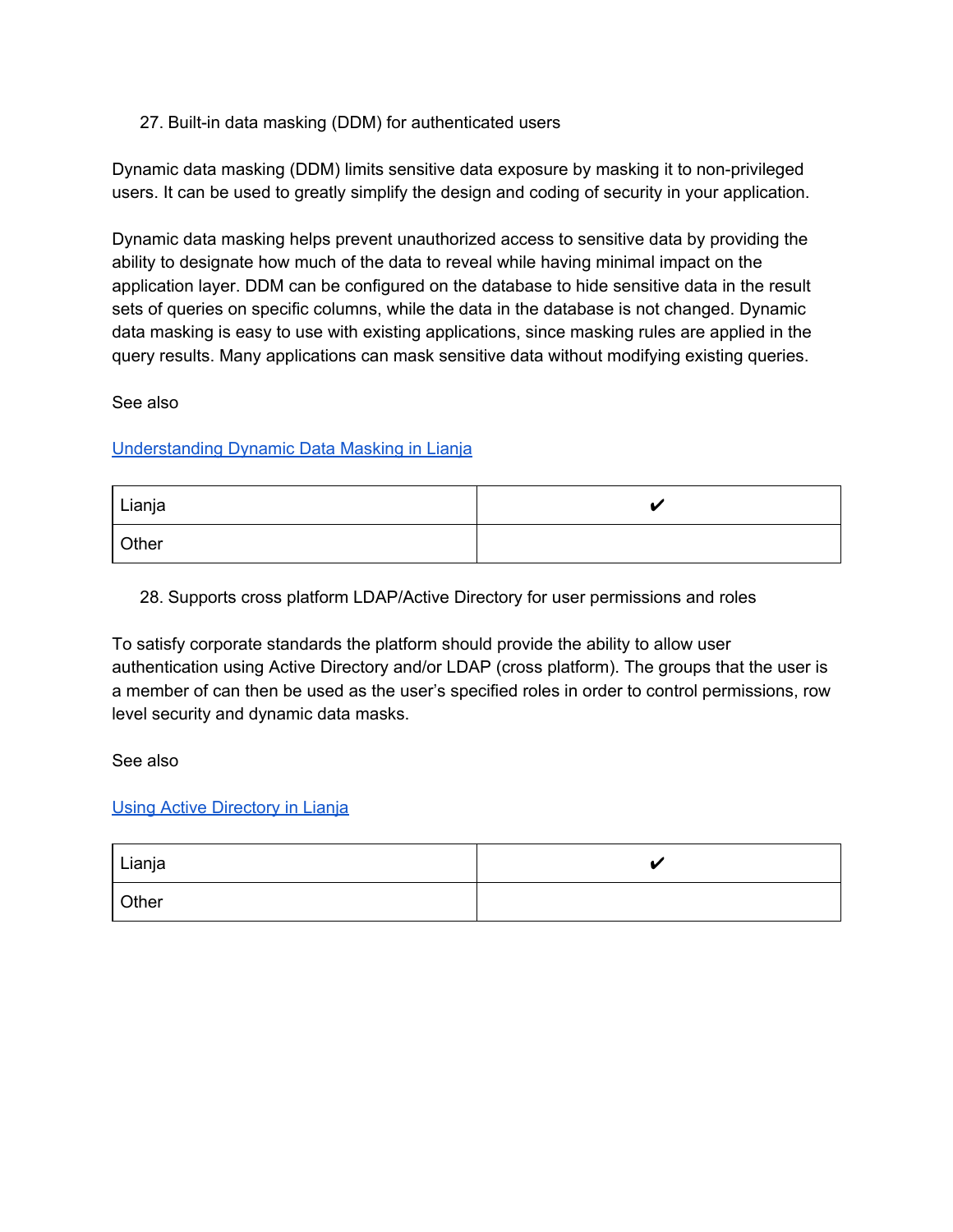#### 27. Built-in data masking (DDM) for authenticated users

Dynamic data masking (DDM) limits sensitive data exposure by masking it to non-privileged users. It can be used to greatly simplify the design and coding of security in your application.

Dynamic data masking helps prevent unauthorized access to sensitive data by providing the ability to designate how much of the data to reveal while having minimal impact on the application layer. DDM can be configured on the database to hide sensitive data in the result sets of queries on specific columns, while the data in the database is not changed. Dynamic data masking is easy to use with existing applications, since masking rules are applied in the query results. Many applications can mask sensitive data without modifying existing queries.

See also

#### [Understanding](https://www.lianja.com/doc/index.php/Understanding_Dynamic_Data_Masking_in_Lianja) Dynamic Data Masking in Lianja

| l Lianja | ▲⊿ |
|----------|----|
| Other    |    |

28. Supports cross platform LDAP/Active Directory for user permissions and roles

To satisfy corporate standards the platform should provide the ability to allow user authentication using Active Directory and/or LDAP (cross platform). The groups that the user is a member of can then be used as the user's specified roles in order to control permissions, row level security and dynamic data masks.

See also

#### Using Active [Directory](https://www.lianja.com/doc/index.php/Active_Directory) in Lianja

| Lianja |  |
|--------|--|
| Other  |  |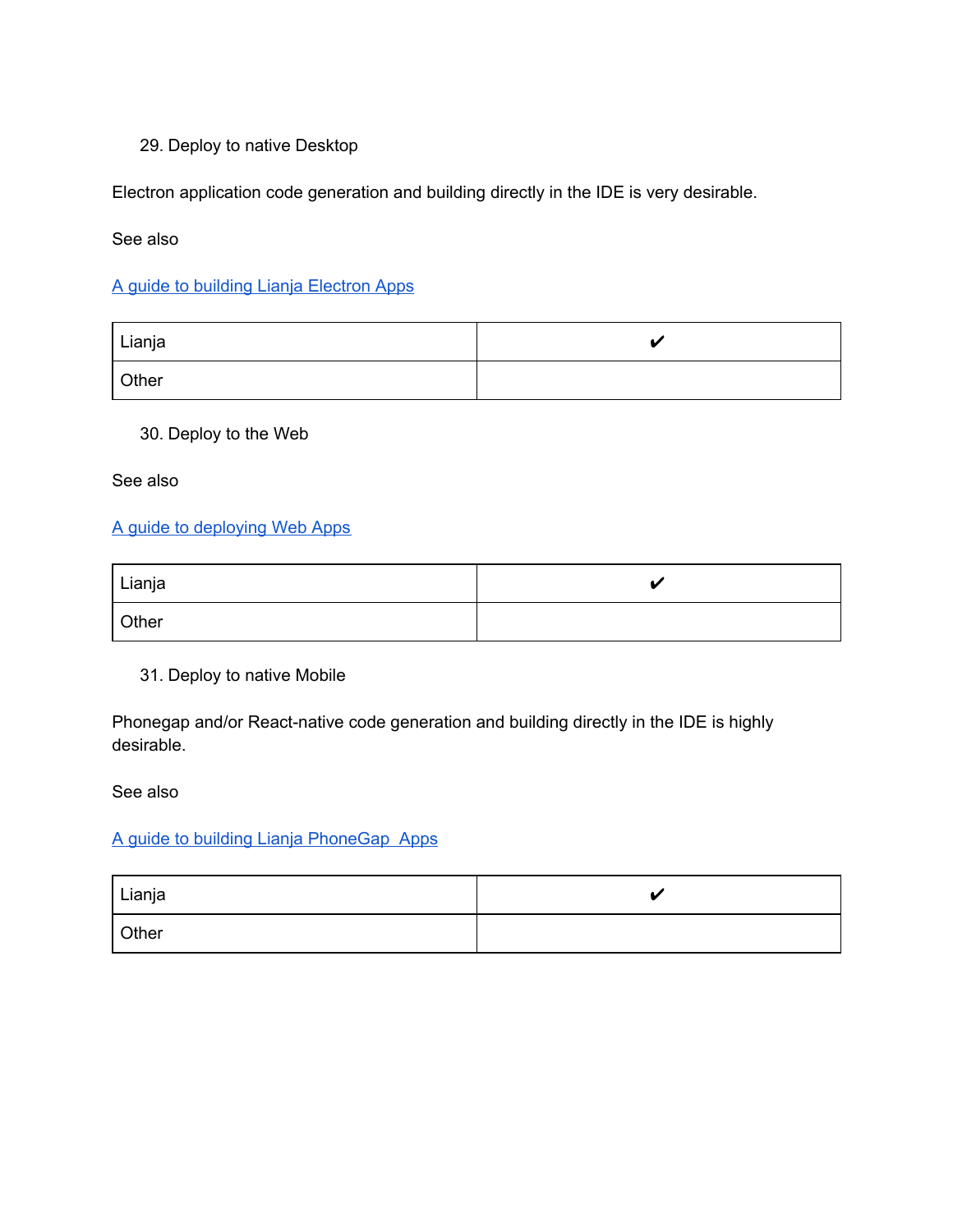#### 29. Deploy to native Desktop

Electron application code generation and building directly in the IDE is very desirable.

#### See also

#### A guide to building Lianja [Electron](https://www.lianja.com/doc/index.php/Category:Electron_Apps) Apps

| <sup>I</sup> Lianja |  |
|---------------------|--|
| Other               |  |

### 30. Deploy to the Web

See also

#### A guide to [deploying](https://www.lianja.com/doc/index.php/A_Guide_to_Deploying_Web_Apps) Web Apps

| Lianja |  |
|--------|--|
| Other  |  |

31. Deploy to native Mobile

Phonegap and/or React-native code generation and building directly in the IDE is highly desirable.

See also

#### A guide to building Lianja [PhoneGap](https://www.lianja.com/doc/index.php/Building_Lianja_Mobile_business_database_Apps) Apps

| Lianja | 44 |
|--------|----|
| Other  |    |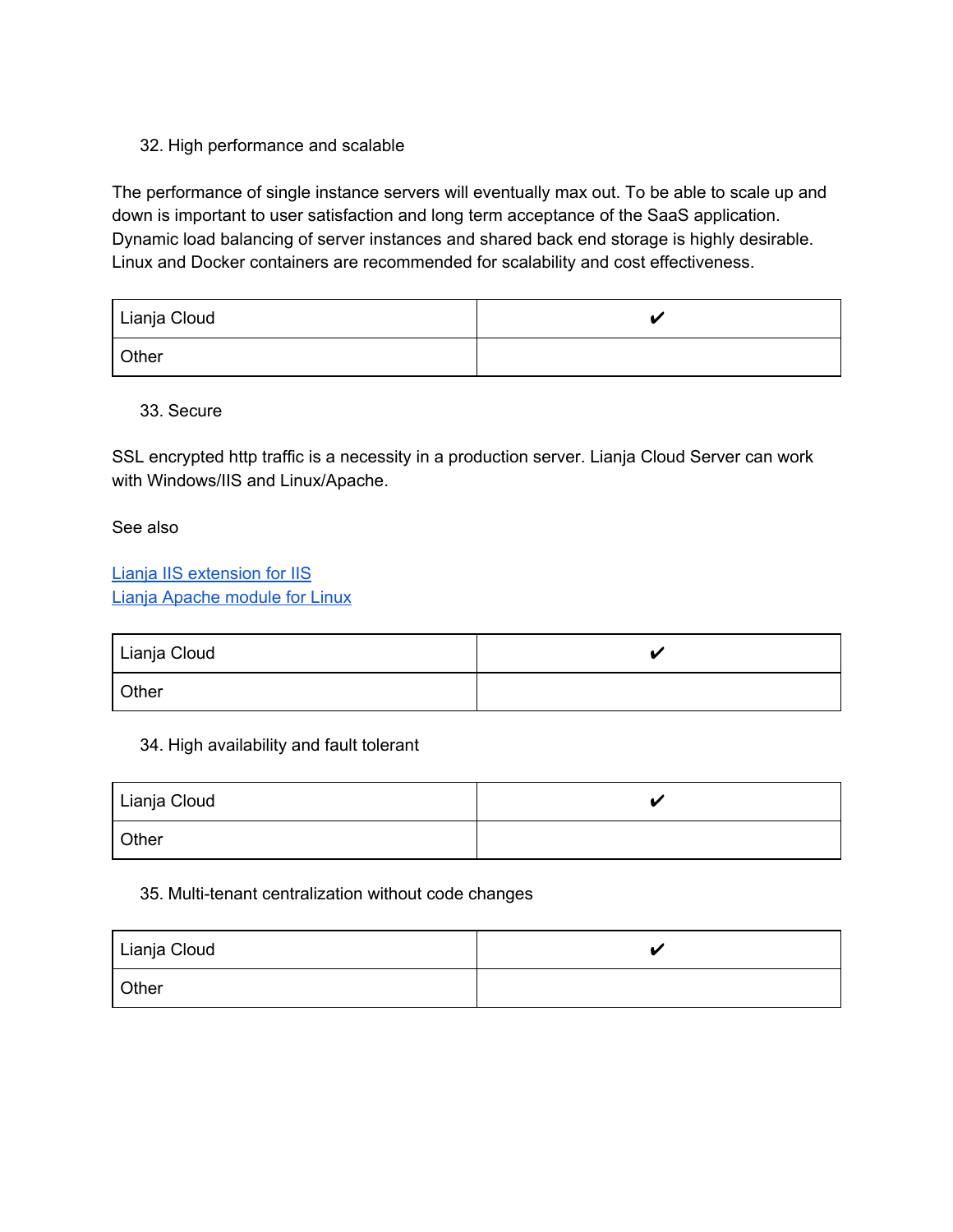#### 32. High performance and scalable

The performance of single instance servers will eventually max out. To be able to scale up and down is important to user satisfaction and long term acceptance of the SaaS application. Dynamic load balancing of server instances and shared back end storage is highly desirable. Linux and Docker containers are recommended for scalability and cost effectiveness.

| Lianja Cloud |  |
|--------------|--|
| Other        |  |

33. Secure

SSL encrypted http traffic is a necessity in a production server. Lianja Cloud Server can work with Windows/IIS and Linux/Apache.

See also

Lianja IIS [extension](https://www.lianja.com/doc/index.php/ISAPI_Extension_for_IIS) for IIS Lianja [Apache](https://www.lianja.com/doc/index.php/Apache_Module_for_Linux) module for Linux

| <sup>I</sup> Lianja Cloud |  |
|---------------------------|--|
| <b>Other</b>              |  |

#### 34. High availability and fault tolerant

| <sup>I</sup> Lianja Cloud |  |
|---------------------------|--|
| Other                     |  |

#### 35. Multi-tenant centralization without code changes

| Lianja Cloud |  |
|--------------|--|
| Other        |  |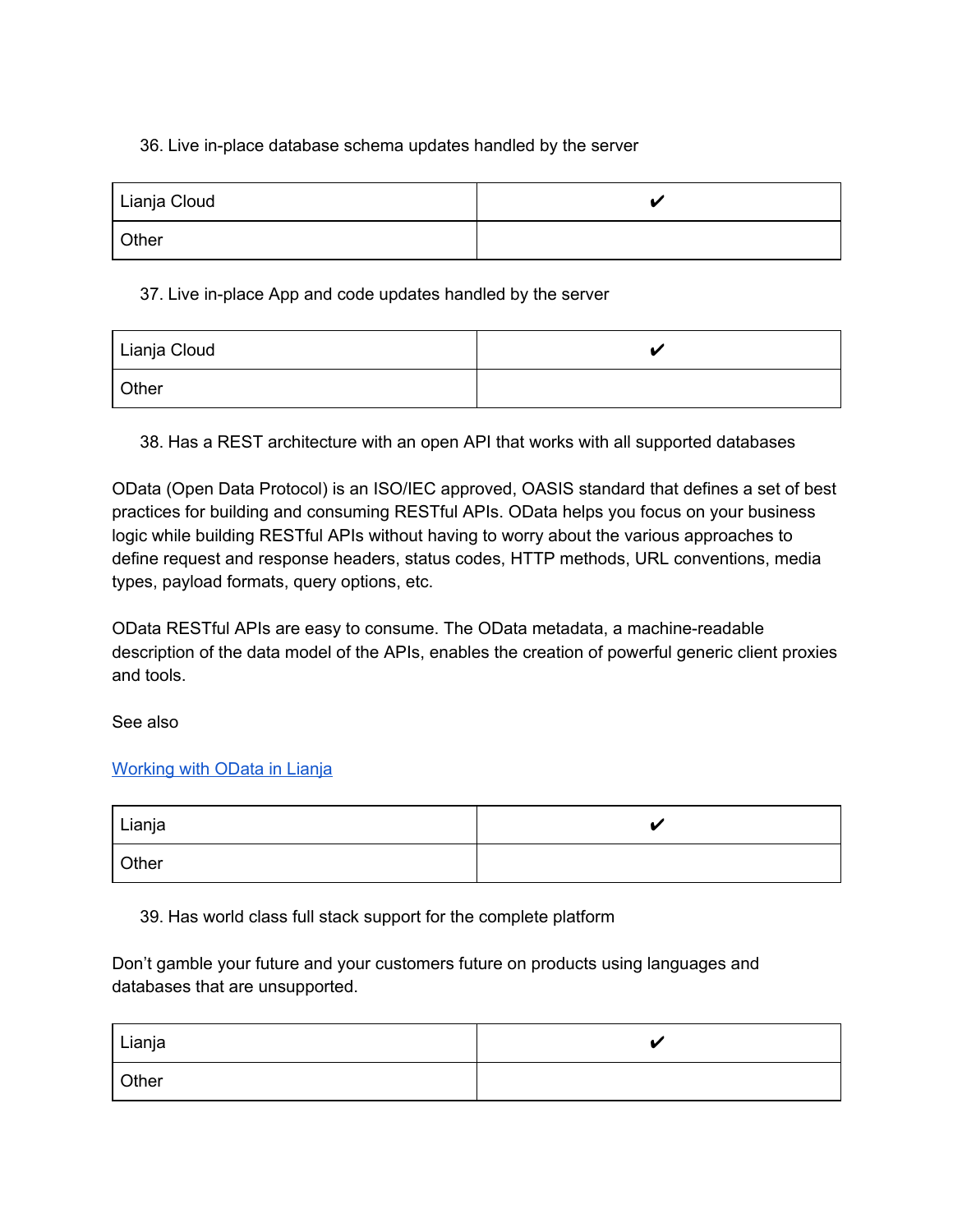#### 36. Live in-place database schema updates handled by the server

| Lianja Cloud |  |
|--------------|--|
| Other        |  |

#### 37. Live in-place App and code updates handled by the server

| Lianja Cloud |  |
|--------------|--|
| Other        |  |

38. Has a REST architecture with an open API that works with all supported databases

OData (Open Data Protocol) is an ISO/IEC approved, OASIS standard that defines a set of best practices for building and consuming RESTful APIs. OData helps you focus on your business logic while building RESTful APIs without having to worry about the various approaches to define request and response headers, status codes, HTTP methods, URL conventions, media types, payload formats, query options, etc.

OData RESTful APIs are easy to consume. The OData metadata, a machine-readable description of the data model of the APIs, enables the creation of powerful generic client proxies and tools.

See also

### [Working](https://www.lianja.com/doc/index.php/Category:OData_Functions) with OData in Lianja

| <sup>I</sup> Lianja |  |
|---------------------|--|
| Other               |  |

39. Has world class full stack support for the complete platform

Don't gamble your future and your customers future on products using languages and databases that are unsupported.

| Lianja |  |
|--------|--|
| Other  |  |